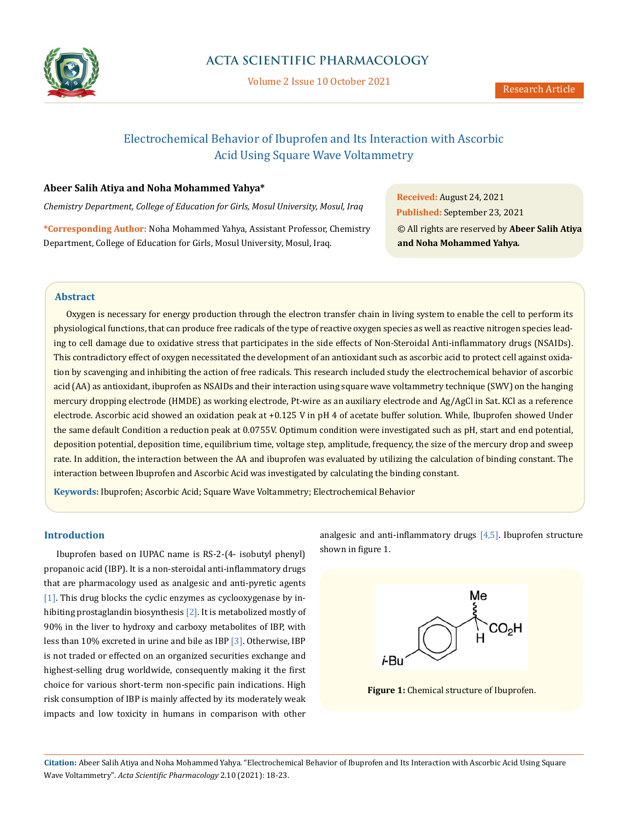

Volume 2 Issue 10 October 2021

# Electrochemical Behavior of Ibuprofen and Its Interaction with Ascorbic Acid Using Square Wave Voltammetry

# **Abeer Salih Atiya and Noha Mohammed Yahya\***

*Chemistry Department, College of Education for Girls, Mosul University, Mosul, Iraq*

**\*Corresponding Author:** Noha Mohammed Yahya, Assistant Professor, Chemistry Department, College of Education for Girls, Mosul University, Mosul, Iraq.

**Received:** August 24, 2021 **Published:** September 23, 2021 © All rights are reserved by **Abeer Salih Atiya and Noha Mohammed Yahya***.*

### **Abstract**

Oxygen is necessary for energy production through the electron transfer chain in living system to enable the cell to perform its physiological functions, that can produce free radicals of the type of reactive oxygen species as well as reactive nitrogen species leading to cell damage due to oxidative stress that participates in the side effects of Non-Steroidal Anti-inflammatory drugs (NSAIDs). This contradictory effect of oxygen necessitated the development of an antioxidant such as ascorbic acid to protect cell against oxidation by scavenging and inhibiting the action of free radicals. This research included study the electrochemical behavior of ascorbic acid (AA) as antioxidant, ibuprofen as NSAIDs and their interaction using square wave voltammetry technique (SWV) on the hanging mercury dropping electrode (HMDE) as working electrode, Pt-wire as an auxiliary electrode and Ag/AgCl in Sat. KCl as a reference electrode. Ascorbic acid showed an oxidation peak at +0.125 V in pH 4 of acetate buffer solution. While, Ibuprofen showed Under the same default Condition a reduction peak at 0.0755V. Optimum condition were investigated such as pH, start and end potential, deposition potential, deposition time, equilibrium time, voltage step, amplitude, frequency, the size of the mercury drop and sweep rate. In addition, the interaction between the AA and ibuprofen was evaluated by utilizing the calculation of binding constant. The interaction between Ibuprofen and Ascorbic Acid was investigated by calculating the binding constant.

**Keywords:** Ibuprofen; Ascorbic Acid; Square Wave Voltammetry; Electrochemical Behavior

### **Introduction**

Ibuprofen based on IUPAC name is RS-2-(4- isobutyl phenyl) propanoic acid (IBP). It is a non-steroidal anti-inflammatory drugs that are pharmacology used as analgesic and anti-pyretic agents [1]. This drug blocks the cyclic enzymes as cyclooxygenase by inhibiting prostaglandin biosynthesis [2]. It is metabolized mostly of 90% in the liver to hydroxy and carboxy metabolites of IBP, with less than 10% excreted in urine and bile as IBP [3]. Otherwise, IBP is not traded or effected on an organized securities exchange and highest-selling drug worldwide, consequently making it the first choice for various short-term non-specific pain indications. High risk consumption of IBP is mainly affected by its moderately weak impacts and low toxicity in humans in comparison with other

analgesic and anti-inflammatory drugs  $[4,5]$ . Ibuprofen structure shown in figure 1.



**Figure 1:** Chemical structure of Ibuprofen.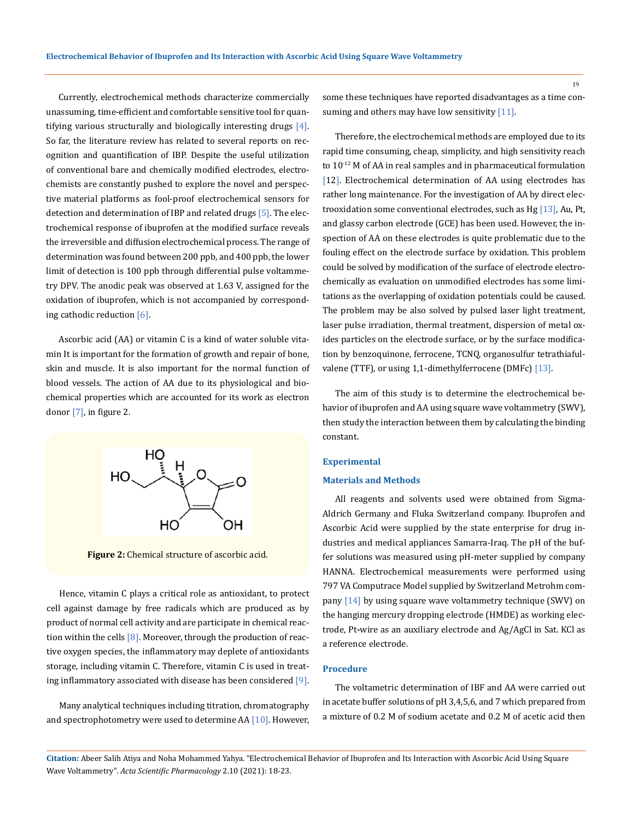Currently, electrochemical methods characterize commercially unassuming, time-efficient and comfortable sensitive tool for quantifying various structurally and biologically interesting drugs  $[4]$ . So far, the literature review has related to several reports on recognition and quantification of IBP. Despite the useful utilization of conventional bare and chemically modified electrodes, electrochemists are constantly pushed to explore the novel and perspective material platforms as fool-proof electrochemical sensors for detection and determination of IBP and related drugs [5]. The electrochemical response of ibuprofen at the modified surface reveals the irreversible and diffusion electrochemical process. The range of determination was found between 200 ppb, and 400 ppb, the lower limit of detection is 100 ppb through differential pulse voltammetry DPV. The anodic peak was observed at 1.63 V, assigned for the oxidation of ibuprofen, which is not accompanied by corresponding cathodic reduction [6].

Ascorbic acid (AA) or vitamin C is a kind of water soluble vitamin It is important for the formation of growth and repair of bone, skin and muscle. It is also important for the normal function of blood vessels. The action of AA due to its physiological and biochemical properties which are accounted for its work as electron donor  $[7]$ , in figure 2.



**Figure 2:** Chemical structure of ascorbic acid.

Hence, vitamin C plays a critical role as antioxidant, to protect cell against damage by free radicals which are produced as by product of normal cell activity and are participate in chemical reaction within the cells  $[8]$ . Moreover, through the production of reactive oxygen species, the inflammatory may deplete of antioxidants storage, including vitamin C. Therefore, vitamin C is used in treating inflammatory associated with disease has been considered [9].

Many analytical techniques including titration, chromatography and spectrophotometry were used to determine AA [10]. However, some these techniques have reported disadvantages as a time consuming and others may have low sensitivity  $[11]$ .

Therefore, the electrochemical methods are employed due to its rapid time consuming, cheap, simplicity, and high sensitivity reach to  $10^{-12}$  M of AA in real samples and in pharmaceutical formulation [12]. Electrochemical determination of AA using electrodes has rather long maintenance. For the investigation of AA by direct electrooxidation some conventional electrodes, such as Hg [13], Au, Pt, and glassy carbon electrode (GCE) has been used. However, the inspection of AA on these electrodes is quite problematic due to the fouling effect on the electrode surface by oxidation. This problem could be solved by modification of the surface of electrode electrochemically as evaluation on unmodified electrodes has some limitations as the overlapping of oxidation potentials could be caused. The problem may be also solved by pulsed laser light treatment, laser pulse irradiation, thermal treatment, dispersion of metal oxides particles on the electrode surface, or by the surface modification by benzoquinone, ferrocene, TCNQ, organosulfur tetrathiafulvalene (TTF), or using 1,1-dimethylferrocene (DMFc) [13].

The aim of this study is to determine the electrochemical behavior of ibuprofen and AA using square wave voltammetry (SWV), then study the interaction between them by calculating the binding constant.

#### **Experimental**

#### **Materials and Methods**

All reagents and solvents used were obtained from Sigma-Aldrich Germany and Fluka Switzerland company. Ibuprofen and Ascorbic Acid were supplied by the state enterprise for drug industries and medical appliances Samarra-Iraq. The pH of the buffer solutions was measured using pH-meter supplied by company HANNA. Electrochemical measurements were performed using 797 VA Computrace Model supplied by Switzerland Metrohm company [14] by using square wave voltammetry technique (SWV) on the hanging mercury dropping electrode (HMDE) as working electrode, Pt**-**wire as an auxiliary electrode and Ag/AgCl in Sat. KCl as a reference electrode.

#### **Procedure**

The voltametric determination of IBF and AA were carried out in acetate buffer solutions of pH 3,4,5,6, and 7 which prepared from a mixture of 0.2 M of sodium acetate and 0.2 M of acetic acid then

**Citation:** Abeer Salih Atiya and Noha Mohammed Yahya*.* "Electrochemical Behavior of Ibuprofen and Its Interaction with Ascorbic Acid Using Square Wave Voltammetry". *Acta Scientific Pharmacology* 2.10 (2021): 18-23.

19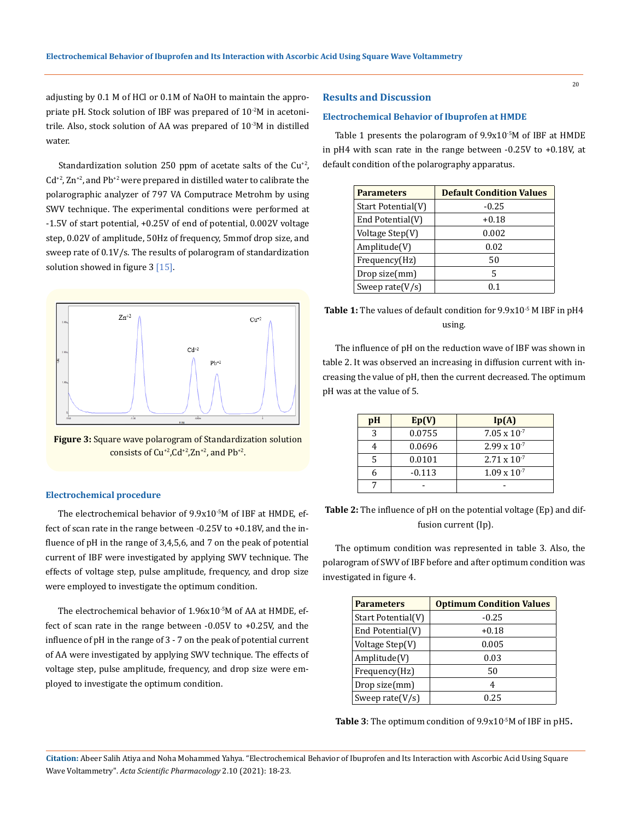adjusting by 0.1 M of HCl or 0.1M of NaOH to maintain the appropriate pH. Stock solution of IBF was prepared of 10-2M in acetonitrile. Also, stock solution of AA was prepared of  $10^{-3}$ M in distilled water.

Standardization solution 250 ppm of acetate salts of the  $Cu^{2}$ ,  $Cd^{+2}$ , Zn<sup>+2</sup>, and Pb<sup>+2</sup> were prepared in distilled water to calibrate the polarographic analyzer of 797 VA Computrace Metrohm by using SWV technique. The experimental conditions were performed at -1.5V of start potential, +0.25V of end of potential, 0.002V voltage step, 0.02V of amplitude, 50Hz of frequency, 5mmof drop size, and sweep rate of 0.1V/s. The results of polarogram of standardization solution showed in figure 3 [15].



**Figure 3:** Square wave polarogram of Standardization solution consists of  $Cu^{+2}$ ,  $Cd^{+2}$ ,  $Zn^{+2}$ , and  $Pb^{+2}$ .

#### **Electrochemical procedure**

The electrochemical behavior of 9.9x10-5M of IBF at HMDE, effect of scan rate in the range between -0.25V to +0.18V, and the influence of pH in the range of 3,4,5,6, and 7 on the peak of potential current of IBF were investigated by applying SWV technique. The effects of voltage step, pulse amplitude, frequency, and drop size were employed to investigate the optimum condition.

The electrochemical behavior of 1.96x10-5M of AA at HMDE, effect of scan rate in the range between -0.05V to +0.25V, and the influence of pH in the range of 3 - 7 on the peak of potential current of AA were investigated by applying SWV technique. The effects of voltage step, pulse amplitude, frequency, and drop size were employed to investigate the optimum condition.

### **Results and Discussion**

#### **Electrochemical Behavior of Ibuprofen at HMDE**

Table 1 presents the polarogram of 9.9x10<sup>-5</sup>M of IBF at HMDE in pH4 with scan rate in the range between -0.25V to +0.18V, at default condition of the polarography apparatus.

| <b>Parameters</b>  | <b>Default Condition Values</b> |
|--------------------|---------------------------------|
| Start Potential(V) | $-0.25$                         |
| End Potential(V)   | $+0.18$                         |
| Voltage Step(V)    | 0.002                           |
| Amplitude(V)       | 0.02                            |
| Frequency(Hz)      | 50                              |
| Drop size(mm)      | 5                               |
| Sweep rate $(V/s)$ | 0 <sub>1</sub>                  |

| <b>Table 1:</b> The values of default condition for 9.9x10 <sup>-5</sup> M IBF in pH4 |
|---------------------------------------------------------------------------------------|
| using.                                                                                |

The influence of pH on the reduction wave of IBF was shown in table 2. It was observed an increasing in diffusion current with increasing the value of pH, then the current decreased. The optimum pH was at the value of 5.

| pH | Ep(V)    | Ip(A)                 |  |
|----|----------|-----------------------|--|
| 3  | 0.0755   | $7.05 \times 10^{-7}$ |  |
|    | 0.0696   | $2.99 \times 10^{-7}$ |  |
| 5  | 0.0101   | $2.71 \times 10^{-7}$ |  |
|    | $-0.113$ | $1.09 \times 10^{-7}$ |  |
|    |          |                       |  |

**Table 2:** The influence of pH on the potential voltage (Ep) and diffusion current (Ip).

The optimum condition was represented in table 3. Also, the polarogram of SWV of IBF before and after optimum condition was investigated in figure 4.

| <b>Parameters</b>  | <b>Optimum Condition Values</b> |
|--------------------|---------------------------------|
| Start Potential(V) | $-0.25$                         |
| End Potential(V)   | $+0.18$                         |
| Voltage Step(V)    | 0.005                           |
| Amplitude(V)       | 0.03                            |
| Frequency(Hz)      | 50                              |
| Drop size(mm)      | 4                               |
| Sweep rate $(V/s)$ | 0.25                            |

**Table 3**: The optimum condition of 9.9x10-5M of IBF in pH5**.**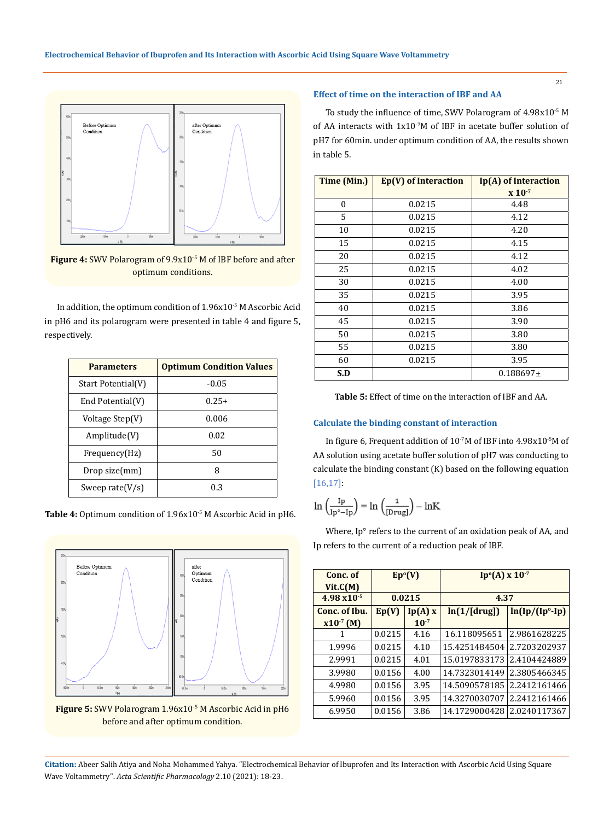

**Figure 4:** SWV Polarogram of 9.9x10<sup>-5</sup> M of IBF before and after optimum conditions.

In addition, the optimum condition of 1.96x10<sup>-5</sup> M Ascorbic Acid in pH6 and its polarogram were presented in table 4 and figure 5, respectively.

| <b>Parameters</b>  | <b>Optimum Condition Values</b> |  |  |
|--------------------|---------------------------------|--|--|
| Start Potential(V) | $-0.05$                         |  |  |
| End Potential(V)   | $0.25+$                         |  |  |
| Voltage Step(V)    | 0.006                           |  |  |
| Amplitude(V)       | 0.02                            |  |  |
| Frequency(Hz)      | 50                              |  |  |
| Drop size(mm)      | Я                               |  |  |
| Sweep rate $(V/s)$ | በ 3                             |  |  |

Table 4: Optimum condition of 1.96x10<sup>-5</sup> M Ascorbic Acid in pH6.



Figure 5: SWV Polarogram 1.96x10<sup>-5</sup> M Ascorbic Acid in pH6 before and after optimum condition.

### **Effect of time on the interaction of IBF and AA**

To study the influence of time, SWV Polarogram of 4.98x10-5 M of AA interacts with 1x10-7M of IBF in acetate buffer solution of pH7 for 60min. under optimum condition of AA, the results shown in table 5.

| Time (Min.)      | Ep(V) of Interaction | Ip(A) of Interaction          |  |
|------------------|----------------------|-------------------------------|--|
|                  |                      | $\mathbf{X}$ 10 <sup>-7</sup> |  |
| $\boldsymbol{0}$ | 0.0215               | 4.48                          |  |
| 5                | 0.0215               | 4.12                          |  |
| 10               | 0.0215               | 4.20                          |  |
| 15               | 0.0215               | 4.15                          |  |
| 20               | 0.0215               | 4.12                          |  |
| 25               | 0.0215               | 4.02                          |  |
| 30               | 0.0215               | 4.00                          |  |
| 35               | 0.0215               | 3.95                          |  |
| 40               | 0.0215               | 3.86                          |  |
| 45               | 0.0215               | 3.90                          |  |
| 50               | 0.0215               | 3.80                          |  |
| 55               | 0.0215               | 3.80                          |  |
| 60               | 0.0215               | 3.95                          |  |
| S.D              |                      | $0.188697\pm$                 |  |

**Table 5:** Effect of time on the interaction of IBF and AA.

#### **Calculate the binding constant of interaction**

In figure 6, Frequent addition of 10-7M of IBF into 4.98x10-5M of AA solution using acetate buffer solution of pH7 was conducting to calculate the binding constant (K) based on the following equation [16,17]:

$$
\ln\left(\frac{\mathrm{I} p}{\mathrm{I} p^\circ - \mathrm{I} p}\right) = \ln\left(\frac{1}{\mathrm{[Drug]}}\right) - \ln\!K
$$

Where, Ip° refers to the current of an oxidation peak of AA, and Ip refers to the current of a reduction peak of IBF.

| Conc. of<br>Vit.C(M)  | Ep <sup>o</sup> (V) |           | $Ip°(A) \times 10^{-7}$ |                   |
|-----------------------|---------------------|-----------|-------------------------|-------------------|
| $4.98 \times 10^{-5}$ | 0.0215              |           | 4.37                    |                   |
| Conc. of Ibu.         | Ep(V)               | lp(A)x    | ln(1/[drug])            | $ln(Ip/(Ip°-Ip))$ |
| $x10^{-7}$ (M)        |                     | $10^{-7}$ |                         |                   |
| 1                     | 0.0215              | 4.16      | 16.118095651            | 2.9861628225      |
| 1.9996                | 0.0215              | 4.10      | 15.4251484504           | 2.7203202937      |
| 2.9991                | 0.0215              | 4.01      | 15.0197833173           | 2.4104424889      |
| 3.9980                | 0.0156              | 4.00      | 14.7323014149           | 2.3805466345      |
| 4.9980                | 0.0156              | 3.95      | 14.5090578185           | 2.2412161466      |
| 5.9960                | 0.0156              | 3.95      | 14.3270030707           | 2.2412161466      |
| 6.9950                | 0.0156              | 3.86      | 14.1729000428           | 2.0240117367      |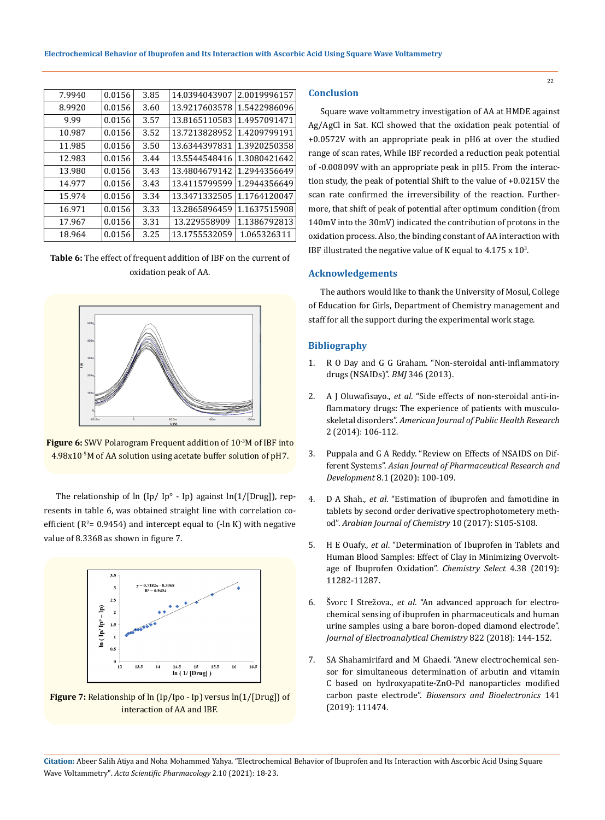| 7.9940 | 0.0156 | 3.85 | 14.0394043907 | 2.0019996157 |
|--------|--------|------|---------------|--------------|
| 8.9920 | 0.0156 | 3.60 | 13.9217603578 | 1.5422986096 |
| 9.99   | 0.0156 | 3.57 | 13.8165110583 | 1.4957091471 |
| 10.987 | 0.0156 | 3.52 | 13.7213828952 | 1.4209799191 |
| 11.985 | 0.0156 | 3.50 | 13.6344397831 | 1.3920250358 |
| 12.983 | 0.0156 | 3.44 | 13.5544548416 | 1.3080421642 |
| 13.980 | 0.0156 | 3.43 | 13.4804679142 | 1.2944356649 |
| 14.977 | 0.0156 | 3.43 | 13.4115799599 | 1.2944356649 |
| 15.974 | 0.0156 | 3.34 | 13.3471332505 | 1.1764120047 |
| 16.971 | 0.0156 | 3.33 | 13.2865896459 | 1.1637515908 |
| 17.967 | 0.0156 | 3.31 | 13.229558909  | 1.1386792813 |
| 18.964 | 0.0156 | 3.25 | 13.1755532059 | 1.065326311  |

**Table 6:** The effect of frequent addition of IBF on the current of oxidation peak of AA.



**Figure 6:** SWV Polarogram Frequent addition of 10<sup>-3</sup>M of IBF into 4.98x10-5M of AA solution using acetate buffer solution of pH7.

The relationship of ln (Ip/ Ip<sup>o</sup> - Ip) against ln(1/[Drug]), represents in table 6, was obtained straight line with correlation coefficient ( $R^2$ = 0.9454) and intercept equal to (-ln K) with negative value of 8.3368 as shown in figure 7.



**Figure 7:** Relationship of ln (Ip/Ipo - Ip) versus ln(1/[Drug]) of interaction of AA and IBF.

# **Conclusion**

Square wave voltammetry investigation of AA at HMDE against Ag/AgCl in Sat. KCl showed that the oxidation peak potential of +0.0572V with an appropriate peak in pH6 at over the studied range of scan rates, While IBF recorded a reduction peak potential of -0.00809V with an appropriate peak in pH5. From the interaction study, the peak of potential Shift to the value of +0.0215V the scan rate confirmed the irreversibility of the reaction. Furthermore, that shift of peak of potential after optimum condition (from 140mV into the 30mV) indicated the contribution of protons in the oxidation process. Also, the binding constant of AA interaction with IBF illustrated the negative value of K equal to  $4.175 \times 10^{3}$ .

# **Acknowledgements**

The authors would like to thank the University of Mosul, College of Education for Girls, Department of Chemistry management and staff for all the support during the experimental work stage.

#### **Bibliography**

- 1. [R O Day and G G Graham. "Non-steroidal anti-inflammatory](https://pubmed.ncbi.nlm.nih.gov/23757736/) [drugs \(NSAIDs\)".](https://pubmed.ncbi.nlm.nih.gov/23757736/) *BMJ* 346 (2013).
- 2. A J Oluwafisayo., *et al*[. "Side effects of non-steroidal anti-in](https://www.researchgate.net/publication/270708194_Side_Effects_of_Non-Steroidal_Anti-Inflammatory_Drugs_The_Experience_of_Patients_with_Musculoskeletal_Disorders)[flammatory drugs: The experience of patients with musculo](https://www.researchgate.net/publication/270708194_Side_Effects_of_Non-Steroidal_Anti-Inflammatory_Drugs_The_Experience_of_Patients_with_Musculoskeletal_Disorders)skeletal disorders". *[American Journal of Public Health Research](https://www.researchgate.net/publication/270708194_Side_Effects_of_Non-Steroidal_Anti-Inflammatory_Drugs_The_Experience_of_Patients_with_Musculoskeletal_Disorders)*  [2 \(2014\): 106-112.](https://www.researchgate.net/publication/270708194_Side_Effects_of_Non-Steroidal_Anti-Inflammatory_Drugs_The_Experience_of_Patients_with_Musculoskeletal_Disorders)
- 3. [Puppala and G A Reddy. "Review on Effects of NSAIDS on Dif](https://www.researchgate.net/publication/340992002_Review_on_Effects_of_NSAIDS_on_Different_Systems)ferent Systems". *[Asian Journal of Pharmaceutical Research and](https://www.researchgate.net/publication/340992002_Review_on_Effects_of_NSAIDS_on_Different_Systems) Development* [8.1 \(2020\): 100-109.](https://www.researchgate.net/publication/340992002_Review_on_Effects_of_NSAIDS_on_Different_Systems)
- 4. D A Shah., *et al*[. "Estimation of ibuprofen and famotidine in](https://www.sciencedirect.com/science/article/pii/S1878535212001670) [tablets by second order derivative spectrophotometery meth](https://www.sciencedirect.com/science/article/pii/S1878535212001670)od". *[Arabian Journal of Chemistry](https://www.sciencedirect.com/science/article/pii/S1878535212001670)* 10 (2017): S105-S108.
- 5. H E Ouafy., *et al*[. "Determination of Ibuprofen in Tablets and](https://chem.ckcest.cn/Journal/Details?id=137401) [Human Blood Samples: Effect of Clay in Minimizing Overvolt](https://chem.ckcest.cn/Journal/Details?id=137401)[age of Ibuprofen Oxidation".](https://chem.ckcest.cn/Journal/Details?id=137401) *Chemistry Select* 4.38 (2019): [11282-11287.](https://chem.ckcest.cn/Journal/Details?id=137401)
- 6. Švorc I Strežova., *et al*[. "An advanced approach for electro](https://www.sciencedirect.com/science/article/abs/pii/S1572665718303783)[chemical sensing of ibuprofen in pharmaceuticals and human](https://www.sciencedirect.com/science/article/abs/pii/S1572665718303783) [urine samples using a bare boron-doped diamond electrode".](https://www.sciencedirect.com/science/article/abs/pii/S1572665718303783) *[Journal of Electroanalytical Chemistry](https://www.sciencedirect.com/science/article/abs/pii/S1572665718303783)* 822 (2018): 144-152.
- 7. [SA Shahamirifard and M Ghaedi. "Anew electrochemical sen](https://pubmed.ncbi.nlm.nih.gov/31277046/)[sor for simultaneous determination of arbutin and vitamin](https://pubmed.ncbi.nlm.nih.gov/31277046/) [C based on hydroxyapatite-ZnO-Pd nanoparticles modified](https://pubmed.ncbi.nlm.nih.gov/31277046/) carbon paste electrode". *[Biosensors and Bioelectronics](https://pubmed.ncbi.nlm.nih.gov/31277046/)* 141 [\(2019\): 111474.](https://pubmed.ncbi.nlm.nih.gov/31277046/)